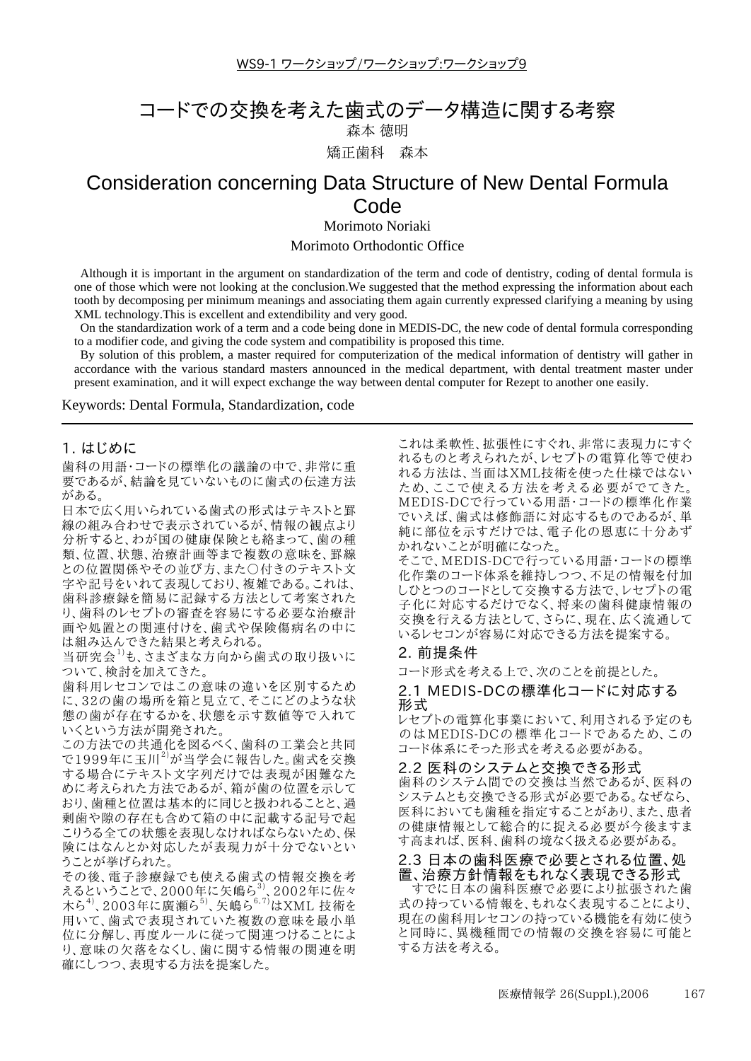WS9-1 ワークショップ/ワークショップ:ワークショップ9

# コードでの交換を考えた歯式のデータ構造に関する考察

森本 徳明

矯正歯科 森本

## Consideration concerning Data Structure of New Dental Formula Code

Morimoto Noriaki

Morimoto Orthodontic Office

Although it is important in the argument on standardization of the term and code of dentistry, coding of dental formula is one of those which were not looking at the conclusion. We suggested that the method expressing the information about each tooth by decomposing per minimum meanings and associating them again currently expressed clarifying a meaning by using XML technology. This is excellent and extendibility and very good.

On the standardization work of a term and a code being done in MEDIS-DC, the new code of dental formula corresponding to a modifier code, and giving the code system and compatibility is proposed this time.

By solution of this problem, a master required for computerization of the medical information of dentistry will gather in accordance with the various standard masters announced in the medical department, with dental treatment master under present examination, and it will expect exchange the way between dental computer for Rezept to another one easily.

Keywords: Dental Formula, Standardization, code

## 1. はじめに

歯科の用語・コードの標準化の議論の中で、非常に重 要であるが、結論を見ていないものに歯式の伝達方法 がある。

日本で広く用いられている歯式の形式はテキストと罫 線の組み合わせで表示されているが、情報の観点より 分析すると、わが国の健康保険とも絡まって、歯の種 類、位置、状態、治療計画等まで複数の意味を、罫線 との位置関係やその並び方、また○付きのテキスト文 字や記号をいれて表現しており、複雑である。これは、 歯科診療録を簡易に記録する方法として考案された り、歯科のレセプトの審査を容易にする必要な治療計 画や処置との関連付けを、歯式や保険傷病名の中に は組み込んできた結果と考えられる。

当研究会1)も、さまざまな方向から歯式の取り扱いに ついて、検討を加えてきた。

歯科用レセコンではこの意味の違いを区別するため に、32の歯の場所を箱と見立て、そこにどのような状 態の歯が存在するかを、状態を示す数値等で入れて いくという方法が開発された。

この方法での共通化を図るべく、歯科の工業会と共同 で1999年に玉川<sup>2)</sup>が当学会に報告した。歯式を交換 する場合にテキスト文字列だけでは表現が困難なた めに考えられた方法であるが、箱が歯の位置を示して おり、歯種と位置は基本的に同じと扱われることと、過 剰歯や隙の存在も含めて箱の中に記載する記号で起 こりうる全ての状態を表現しなければならないため、保 険にはなんとか対応したが表現力が十分でないとい うことが挙げられた。

その後、電子診療録でも使える歯式の情報交換を考 えるということで、2000年に矢嶋ら<sup>3)</sup> 2002年に佐々 木ら<sup>4</sup>, 2003年に廣瀬ら, 矢嶋ら<sup>6,7</sup>はXML 技術を 用いて、歯式で表現されていた複数の意味を最小単 位に分解し、再度ルールに従って関連つけることによ り、意味の欠落をなくし、歯に関する情報の関連を明 確にしつつ、表現する方法を提案した。

これは柔軟性、拡張性にすぐれ、非常に表現力にすぐ れるものと考えられたが、レセプトの電算化等で使わ れる方法は、当面はXML技術を使った仕様ではない ため、ここで使える方法を考える必要がでてきた。 MEDIS-DCで行っている用語·コードの標準化作業 でいえば、歯式は修飾語に対応するものであるが、単 純に部位を示すだけでは、電子化の恩恵に十分あず かれないことが明確になった。

そこで、MEDIS-DCで行っている用語·コードの標準 化作業のコード体系を維持しつつ、不足の情報を付加 しひとつのコードとして交換する方法で、レセプトの電 子化に対応するだけでなく、将来の歯科健康情報の 交換を行える方法として、さらに、現在、広く流通して いるレセコンが容易に対応できる方法を提案する。

## 2. 前提条件

コード形式を考える上で、次のことを前提とした。

2.1 MEDIS-DCの標準化コードに対応する 形式

レセプトの電算化事業において、利用される予定のも のはMEDIS-DCの標準化コードであるため、この コード体系にそった形式を考える必要がある。

#### 2.2 医科のシステムと交換できる形式

歯科のシステム間での交換は当然であるが、医科の システムとも交換できる形式が必要である。なぜなら、 医科においても歯種を指定することがあり、また、患者 の健康情報として総合的に捉える必要が今後ますま す高まれば、医科、歯科の境なく扱える必要がある。

## 2.3 日本の歯科医療で必要とされる位置、処 置、治療方針情報をもれなく表現できる形式

すでに日本の歯科医療で必要により拡張された歯 式の持っている情報を、もれなく表現することにより、 現在の歯科用レセコンの持っている機能を有効に使う と同時に、異機種間での情報の交換を容易に可能と する方法を考える。